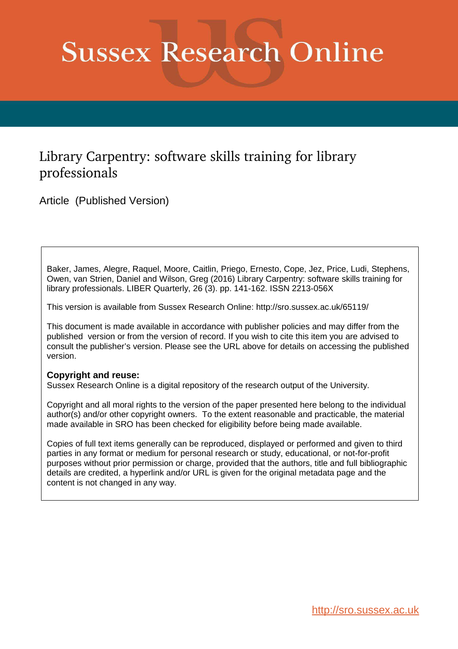# **Sussex Research Online**

# Library Carpentry: software skills training for library professionals

Article (Published Version)

Baker, James, Alegre, Raquel, Moore, Caitlin, Priego, Ernesto, Cope, Jez, Price, Ludi, Stephens, Owen, van Strien, Daniel and Wilson, Greg (2016) Library Carpentry: software skills training for library professionals. LIBER Quarterly, 26 (3). pp. 141-162. ISSN 2213-056X

This version is available from Sussex Research Online: http://sro.sussex.ac.uk/65119/

This document is made available in accordance with publisher policies and may differ from the published version or from the version of record. If you wish to cite this item you are advised to consult the publisher's version. Please see the URL above for details on accessing the published version.

#### **Copyright and reuse:**

Sussex Research Online is a digital repository of the research output of the University.

Copyright and all moral rights to the version of the paper presented here belong to the individual author(s) and/or other copyright owners. To the extent reasonable and practicable, the material made available in SRO has been checked for eligibility before being made available.

Copies of full text items generally can be reproduced, displayed or performed and given to third parties in any format or medium for personal research or study, educational, or not-for-profit purposes without prior permission or charge, provided that the authors, title and full bibliographic details are credited, a hyperlink and/or URL is given for the original metadata page and the content is not changed in any way.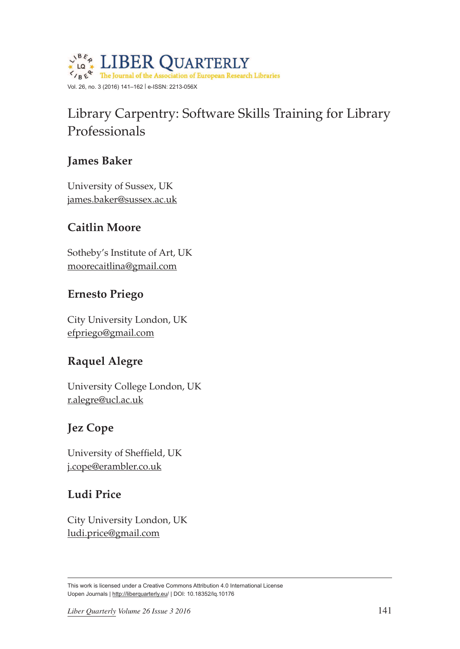

# Library Carpentry: Software Skills Training for Library Professionals

# **James Baker**

University of Sussex, UK [james.baker@sussex.ac.uk](mailto:james.baker@sussex.ac.uk)

# **Caitlin Moore**

Sotheby's Institute of Art, UK [moorecaitlina@gmail.com](mailto:moorecaitlina@gmail.com)

# **Ernesto Priego**

City University London, UK [efpriego@gmail.com](mailto:efpriego@gmail.com)

# **Raquel Alegre**

University College London, UK [r.alegre@ucl.ac.uk](mailto:r.alegre@ucl.ac.uk)

# **Jez Cope**

University of Sheffield, UK [j.cope@erambler.co.uk](mailto:j.cope@erambler.co.uk)

# **Ludi Price**

City University London, UK [ludi.price@gmail.com](mailto:ludi.price@gmail.com)

This work is licensed under a Creative Commons Attribution 4.0 International License Uopen Journals | <http://liberquarterly.eu>/ | [DOI: 10.18352/lq.10176](http://www.doi.org/10.18352/lq.10176)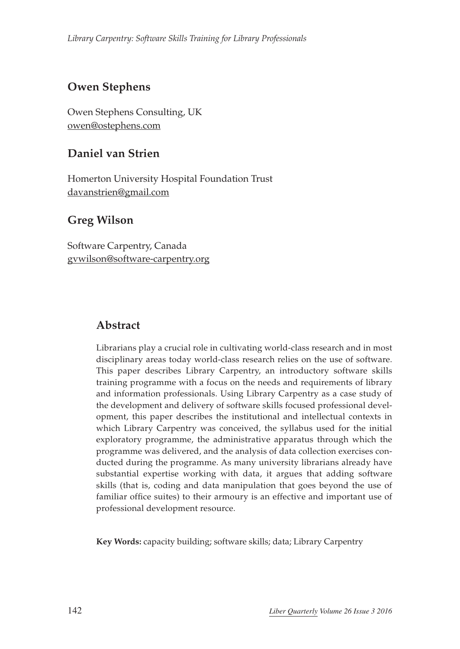# **Owen Stephens**

Owen Stephens Consulting, UK [owen@ostephens.com](mailto:owen@ostephens.com)

#### **Daniel van Strien**

Homerton University Hospital Foundation Trust [davanstrien@gmail.com](mailto:davanstrien@gmail.com)

#### **Greg Wilson**

Software Carpentry, Canada [gvwilson@software-carpentry.org](mailto:gvwilson@software-carpentry.org)

### **Abstract**

Librarians play a crucial role in cultivating world-class research and in most disciplinary areas today world-class research relies on the use of software. This paper describes Library Carpentry, an introductory software skills training programme with a focus on the needs and requirements of library and information professionals. Using Library Carpentry as a case study of the development and delivery of software skills focused professional development, this paper describes the institutional and intellectual contexts in which Library Carpentry was conceived, the syllabus used for the initial exploratory programme, the administrative apparatus through which the programme was delivered, and the analysis of data collection exercises conducted during the programme. As many university librarians already have substantial expertise working with data, it argues that adding software skills (that is, coding and data manipulation that goes beyond the use of familiar office suites) to their armoury is an effective and important use of professional development resource.

**Key Words:** capacity building; software skills; data; Library Carpentry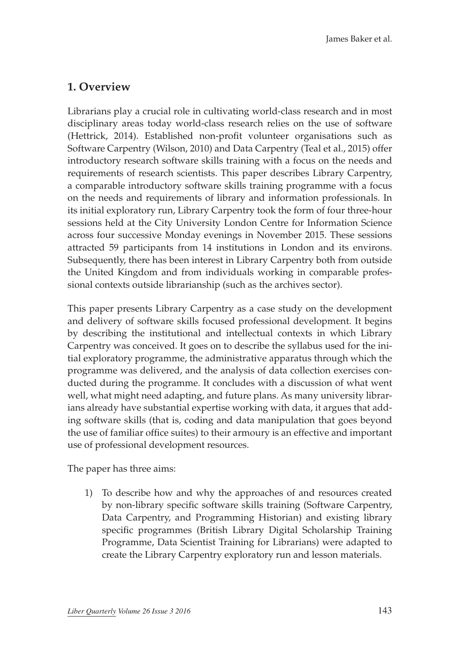#### **1. Overview**

Librarians play a crucial role in cultivating world-class research and in most disciplinary areas today world-class research relies on the use of software (Hettrick, 2014). Established non-profit volunteer organisations such as Software Carpentry (Wilson, 2010) and Data Carpentry (Teal et al., 2015) offer introductory research software skills training with a focus on the needs and requirements of research scientists. This paper describes Library Carpentry, a comparable introductory software skills training programme with a focus on the needs and requirements of library and information professionals. In its initial exploratory run, Library Carpentry took the form of four three-hour sessions held at the City University London Centre for Information Science across four successive Monday evenings in November 2015. These sessions attracted 59 participants from 14 institutions in London and its environs. Subsequently, there has been interest in Library Carpentry both from outside the United Kingdom and from individuals working in comparable professional contexts outside librarianship (such as the archives sector).

This paper presents Library Carpentry as a case study on the development and delivery of software skills focused professional development. It begins by describing the institutional and intellectual contexts in which Library Carpentry was conceived. It goes on to describe the syllabus used for the initial exploratory programme, the administrative apparatus through which the programme was delivered, and the analysis of data collection exercises conducted during the programme. It concludes with a discussion of what went well, what might need adapting, and future plans. As many university librarians already have substantial expertise working with data, it argues that adding software skills (that is, coding and data manipulation that goes beyond the use of familiar office suites) to their armoury is an effective and important use of professional development resources.

The paper has three aims:

1) To describe how and why the approaches of and resources created by non-library specific software skills training (Software Carpentry, Data Carpentry, and Programming Historian) and existing library specific programmes (British Library Digital Scholarship Training Programme, Data Scientist Training for Librarians) were adapted to create the Library Carpentry exploratory run and lesson materials.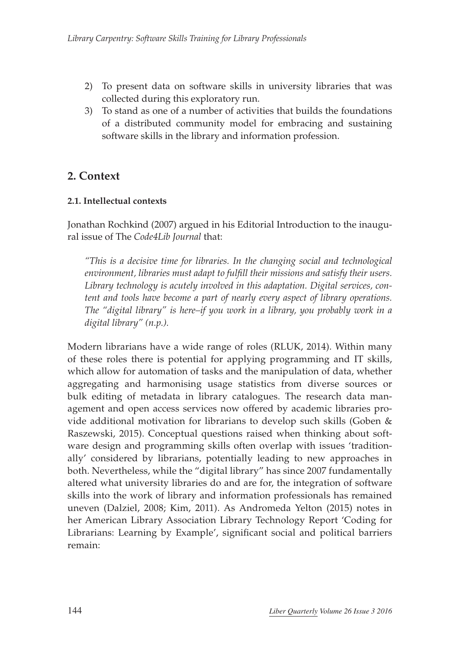- 2) To present data on software skills in university libraries that was collected during this exploratory run.
- 3) To stand as one of a number of activities that builds the foundations of a distributed community model for embracing and sustaining software skills in the library and information profession.

# **2. Context**

#### **2.1. Intellectual contexts**

Jonathan Rochkind (2007) argued in his Editorial Introduction to the inaugural issue of The *Code4Lib Journal* that:

*"This is a decisive time for libraries. In the changing social and technological environment, libraries must adapt to fulfill their missions and satisfy their users. Library technology is acutely involved in this adaptation. Digital services, content and tools have become a part of nearly every aspect of library operations. The "digital library" is here–if you work in a library, you probably work in a digital library" (n.p.).*

Modern librarians have a wide range of roles (RLUK, 2014). Within many of these roles there is potential for applying programming and IT skills, which allow for automation of tasks and the manipulation of data, whether aggregating and harmonising usage statistics from diverse sources or bulk editing of metadata in library catalogues. The research data management and open access services now offered by academic libraries provide additional motivation for librarians to develop such skills (Goben & Raszewski, 2015). Conceptual questions raised when thinking about software design and programming skills often overlap with issues 'traditionally' considered by librarians, potentially leading to new approaches in both. Nevertheless, while the "digital library" has since 2007 fundamentally altered what university libraries do and are for, the integration of software skills into the work of library and information professionals has remained uneven (Dalziel, 2008; Kim, 2011). As Andromeda Yelton (2015) notes in her American Library Association Library Technology Report 'Coding for Librarians: Learning by Example', significant social and political barriers remain: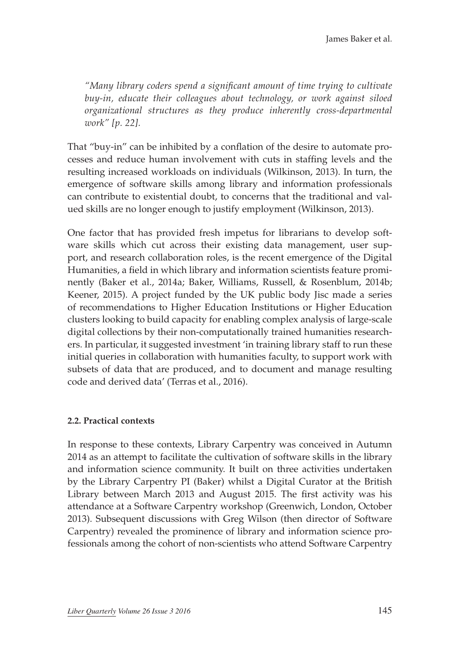*"Many library coders spend a significant amount of time trying to cultivate buy-in, educate their colleagues about technology, or work against siloed organizational structures as they produce inherently cross-departmental work" [p. 22].*

That "buy-in" can be inhibited by a conflation of the desire to automate processes and reduce human involvement with cuts in staffing levels and the resulting increased workloads on individuals (Wilkinson, 2013). In turn, the emergence of software skills among library and information professionals can contribute to existential doubt, to concerns that the traditional and valued skills are no longer enough to justify employment (Wilkinson, 2013).

One factor that has provided fresh impetus for librarians to develop software skills which cut across their existing data management, user support, and research collaboration roles, is the recent emergence of the Digital Humanities, a field in which library and information scientists feature prominently (Baker et al., 2014a; Baker, Williams, Russell, & Rosenblum, 2014b; Keener, 2015). A project funded by the UK public body Jisc made a series of recommendations to Higher Education Institutions or Higher Education clusters looking to build capacity for enabling complex analysis of large-scale digital collections by their non-computationally trained humanities researchers. In particular, it suggested investment 'in training library staff to run these initial queries in collaboration with humanities faculty, to support work with subsets of data that are produced, and to document and manage resulting code and derived data' (Terras et al., 2016).

#### **2.2. Practical contexts**

In response to these contexts, Library Carpentry was conceived in Autumn 2014 as an attempt to facilitate the cultivation of software skills in the library and information science community. It built on three activities undertaken by the Library Carpentry PI (Baker) whilst a Digital Curator at the British Library between March 2013 and August 2015. The first activity was his attendance at a Software Carpentry workshop (Greenwich, London, October 2013). Subsequent discussions with Greg Wilson (then director of Software Carpentry) revealed the prominence of library and information science professionals among the cohort of non-scientists who attend Software Carpentry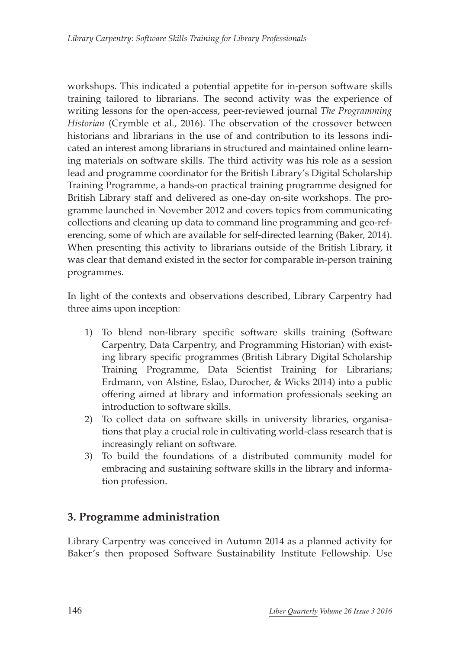workshops. This indicated a potential appetite for in-person software skills training tailored to librarians. The second activity was the experience of writing lessons for the open-access, peer-reviewed journal *The Programming Historian* (Crymble et al., 2016). The observation of the crossover between historians and librarians in the use of and contribution to its lessons indicated an interest among librarians in structured and maintained online learning materials on software skills. The third activity was his role as a session lead and programme coordinator for the British Library's Digital Scholarship Training Programme, a hands-on practical training programme designed for British Library staff and delivered as one-day on-site workshops. The programme launched in November 2012 and covers topics from communicating collections and cleaning up data to command line programming and geo-referencing, some of which are available for self-directed learning (Baker, 2014). When presenting this activity to librarians outside of the British Library, it was clear that demand existed in the sector for comparable in-person training programmes.

In light of the contexts and observations described, Library Carpentry had three aims upon inception:

- 1) To blend non-library specific software skills training (Software Carpentry, Data Carpentry, and Programming Historian) with existing library specific programmes (British Library Digital Scholarship Training Programme, Data Scientist Training for Librarians; Erdmann, von Alstine, Eslao, Durocher, & Wicks 2014) into a public offering aimed at library and information professionals seeking an introduction to software skills.
- 2) To collect data on software skills in university libraries, organisations that play a crucial role in cultivating world-class research that is increasingly reliant on software.
- 3) To build the foundations of a distributed community model for embracing and sustaining software skills in the library and information profession.

#### **3. Programme administration**

Library Carpentry was conceived in Autumn 2014 as a planned activity for Baker's then proposed Software Sustainability Institute Fellowship. Use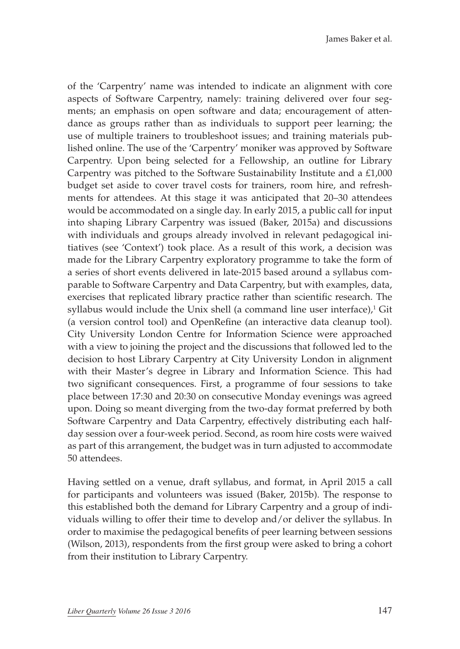of the 'Carpentry' name was intended to indicate an alignment with core aspects of Software Carpentry, namely: training delivered over four segments; an emphasis on open software and data; encouragement of attendance as groups rather than as individuals to support peer learning; the use of multiple trainers to troubleshoot issues; and training materials published online. The use of the 'Carpentry' moniker was approved by Software Carpentry. Upon being selected for a Fellowship, an outline for Library Carpentry was pitched to the Software Sustainability Institute and a £1,000 budget set aside to cover travel costs for trainers, room hire, and refreshments for attendees. At this stage it was anticipated that 20–30 attendees would be accommodated on a single day. In early 2015, a public call for input into shaping Library Carpentry was issued (Baker, 2015a) and discussions with individuals and groups already involved in relevant pedagogical initiatives (see 'Context') took place. As a result of this work, a decision was made for the Library Carpentry exploratory programme to take the form of a series of short events delivered in late-2015 based around a syllabus comparable to Software Carpentry and Data Carpentry, but with examples, data, exercises that replicated library practice rather than scientific research. The syllabus would include the Unix shell (a command line user interface),<sup>1</sup> Git (a version control tool) and OpenRefine (an interactive data cleanup tool). City University London Centre for Information Science were approached with a view to joining the project and the discussions that followed led to the decision to host Library Carpentry at City University London in alignment with their Master's degree in Library and Information Science. This had two significant consequences. First, a programme of four sessions to take place between 17:30 and 20:30 on consecutive Monday evenings was agreed upon. Doing so meant diverging from the two-day format preferred by both Software Carpentry and Data Carpentry, effectively distributing each halfday session over a four-week period. Second, as room hire costs were waived as part of this arrangement, the budget was in turn adjusted to accommodate 50 attendees.

Having settled on a venue, draft syllabus, and format, in April 2015 a call for participants and volunteers was issued (Baker, 2015b). The response to this established both the demand for Library Carpentry and a group of individuals willing to offer their time to develop and/or deliver the syllabus. In order to maximise the pedagogical benefits of peer learning between sessions (Wilson, 2013), respondents from the first group were asked to bring a cohort from their institution to Library Carpentry.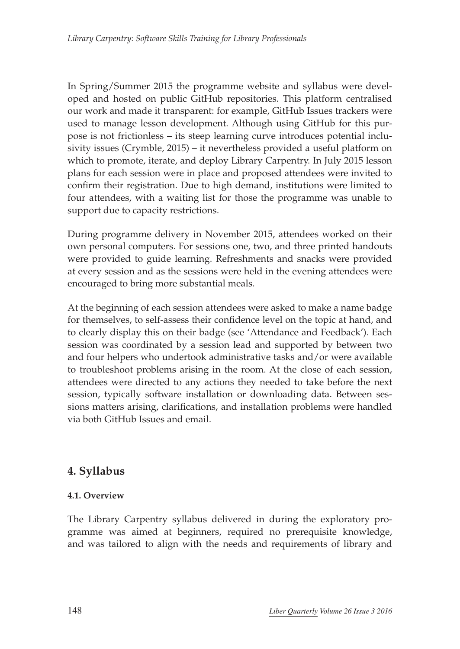In Spring/Summer 2015 the programme website and syllabus were developed and hosted on public GitHub repositories. This platform centralised our work and made it transparent: for example, GitHub Issues trackers were used to manage lesson development. Although using GitHub for this purpose is not frictionless – its steep learning curve introduces potential inclusivity issues (Crymble, 2015) – it nevertheless provided a useful platform on which to promote, iterate, and deploy Library Carpentry. In July 2015 lesson plans for each session were in place and proposed attendees were invited to confirm their registration. Due to high demand, institutions were limited to four attendees, with a waiting list for those the programme was unable to support due to capacity restrictions.

During programme delivery in November 2015, attendees worked on their own personal computers. For sessions one, two, and three printed handouts were provided to guide learning. Refreshments and snacks were provided at every session and as the sessions were held in the evening attendees were encouraged to bring more substantial meals.

At the beginning of each session attendees were asked to make a name badge for themselves, to self-assess their confidence level on the topic at hand, and to clearly display this on their badge (see 'Attendance and Feedback'). Each session was coordinated by a session lead and supported by between two and four helpers who undertook administrative tasks and/or were available to troubleshoot problems arising in the room. At the close of each session, attendees were directed to any actions they needed to take before the next session, typically software installation or downloading data. Between sessions matters arising, clarifications, and installation problems were handled via both GitHub Issues and email.

#### **4. Syllabus**

#### **4.1. Overview**

The Library Carpentry syllabus delivered in during the exploratory programme was aimed at beginners, required no prerequisite knowledge, and was tailored to align with the needs and requirements of library and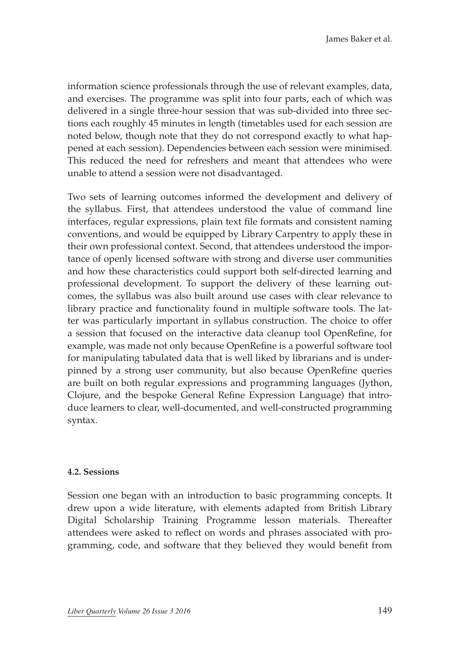information science professionals through the use of relevant examples, data, and exercises. The programme was split into four parts, each of which was delivered in a single three-hour session that was sub-divided into three sections each roughly 45 minutes in length (timetables used for each session are noted below, though note that they do not correspond exactly to what happened at each session). Dependencies between each session were minimised. This reduced the need for refreshers and meant that attendees who were unable to attend a session were not disadvantaged.

Two sets of learning outcomes informed the development and delivery of the syllabus. First, that attendees understood the value of command line interfaces, regular expressions, plain text file formats and consistent naming conventions, and would be equipped by Library Carpentry to apply these in their own professional context. Second, that attendees understood the importance of openly licensed software with strong and diverse user communities and how these characteristics could support both self-directed learning and professional development. To support the delivery of these learning outcomes, the syllabus was also built around use cases with clear relevance to library practice and functionality found in multiple software tools. The latter was particularly important in syllabus construction. The choice to offer a session that focused on the interactive data cleanup tool OpenRefine, for example, was made not only because OpenRefine is a powerful software tool for manipulating tabulated data that is well liked by librarians and is underpinned by a strong user community, but also because OpenRefine queries are built on both regular expressions and programming languages (Jython, Clojure, and the bespoke General Refine Expression Language) that introduce learners to clear, well-documented, and well-constructed programming syntax.

#### **4.2. Sessions**

Session one began with an introduction to basic programming concepts. It drew upon a wide literature, with elements adapted from British Library Digital Scholarship Training Programme lesson materials. Thereafter attendees were asked to reflect on words and phrases associated with programming, code, and software that they believed they would benefit from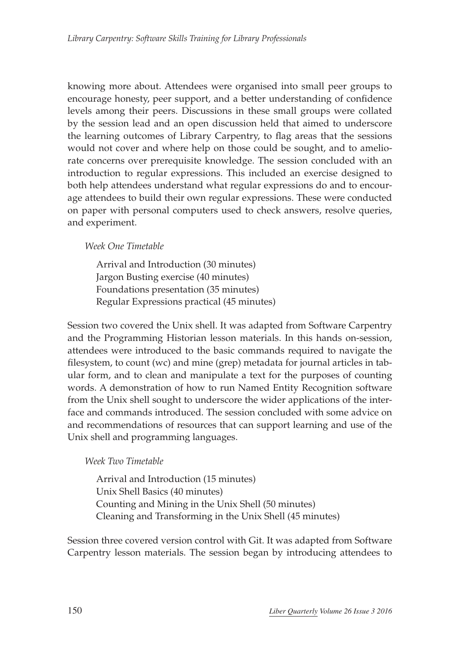knowing more about. Attendees were organised into small peer groups to encourage honesty, peer support, and a better understanding of confidence levels among their peers. Discussions in these small groups were collated by the session lead and an open discussion held that aimed to underscore the learning outcomes of Library Carpentry, to flag areas that the sessions would not cover and where help on those could be sought, and to ameliorate concerns over prerequisite knowledge. The session concluded with an introduction to regular expressions. This included an exercise designed to both help attendees understand what regular expressions do and to encourage attendees to build their own regular expressions. These were conducted on paper with personal computers used to check answers, resolve queries, and experiment.

#### *Week One Timetable*

Arrival and Introduction (30 minutes) Jargon Busting exercise (40 minutes) Foundations presentation (35 minutes) Regular Expressions practical (45 minutes)

Session two covered the Unix shell. It was adapted from Software Carpentry and the Programming Historian lesson materials. In this hands on-session, attendees were introduced to the basic commands required to navigate the filesystem, to count (wc) and mine (grep) metadata for journal articles in tabular form, and to clean and manipulate a text for the purposes of counting words. A demonstration of how to run Named Entity Recognition software from the Unix shell sought to underscore the wider applications of the interface and commands introduced. The session concluded with some advice on and recommendations of resources that can support learning and use of the Unix shell and programming languages.

#### *Week Two Timetable*

Arrival and Introduction (15 minutes) Unix Shell Basics (40 minutes) Counting and Mining in the Unix Shell (50 minutes) Cleaning and Transforming in the Unix Shell (45 minutes)

Session three covered version control with Git. It was adapted from Software Carpentry lesson materials. The session began by introducing attendees to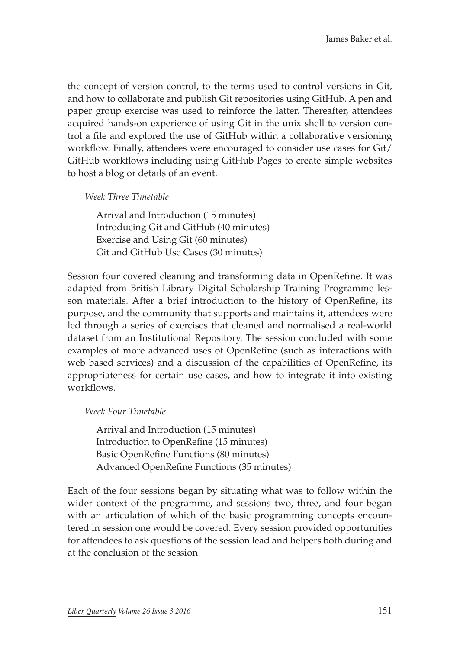the concept of version control, to the terms used to control versions in Git, and how to collaborate and publish Git repositories using GitHub. A pen and paper group exercise was used to reinforce the latter. Thereafter, attendees acquired hands-on experience of using Git in the unix shell to version control a file and explored the use of GitHub within a collaborative versioning workflow. Finally, attendees were encouraged to consider use cases for Git/ GitHub workflows including using GitHub Pages to create simple websites to host a blog or details of an event.

#### *Week Three Timetable*

Arrival and Introduction (15 minutes) Introducing Git and GitHub (40 minutes) Exercise and Using Git (60 minutes) Git and GitHub Use Cases (30 minutes)

Session four covered cleaning and transforming data in OpenRefine. It was adapted from British Library Digital Scholarship Training Programme lesson materials. After a brief introduction to the history of OpenRefine, its purpose, and the community that supports and maintains it, attendees were led through a series of exercises that cleaned and normalised a real-world dataset from an Institutional Repository. The session concluded with some examples of more advanced uses of OpenRefine (such as interactions with web based services) and a discussion of the capabilities of OpenRefine, its appropriateness for certain use cases, and how to integrate it into existing workflows.

#### *Week Four Timetable*

Arrival and Introduction (15 minutes) Introduction to OpenRefine (15 minutes) Basic OpenRefine Functions (80 minutes) Advanced OpenRefine Functions (35 minutes)

Each of the four sessions began by situating what was to follow within the wider context of the programme, and sessions two, three, and four began with an articulation of which of the basic programming concepts encountered in session one would be covered. Every session provided opportunities for attendees to ask questions of the session lead and helpers both during and at the conclusion of the session.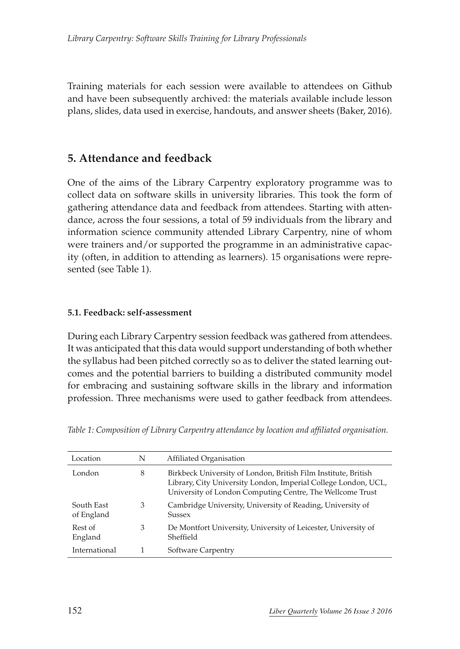Training materials for each session were available to attendees on Github and have been subsequently archived: the materials available include lesson plans, slides, data used in exercise, handouts, and answer sheets (Baker, 2016).

#### **5. Attendance and feedback**

One of the aims of the Library Carpentry exploratory programme was to collect data on software skills in university libraries. This took the form of gathering attendance data and feedback from attendees. Starting with attendance, across the four sessions, a total of 59 individuals from the library and information science community attended Library Carpentry, nine of whom were trainers and/or supported the programme in an administrative capacity (often, in addition to attending as learners). 15 organisations were represented (see Table 1).

#### **5.1. Feedback: self-assessment**

During each Library Carpentry session feedback was gathered from attendees. It was anticipated that this data would support understanding of both whether the syllabus had been pitched correctly so as to deliver the stated learning outcomes and the potential barriers to building a distributed community model for embracing and sustaining software skills in the library and information profession. Three mechanisms were used to gather feedback from attendees.

| Location                 | N | Affiliated Organisation                                                                                                                                                                       |
|--------------------------|---|-----------------------------------------------------------------------------------------------------------------------------------------------------------------------------------------------|
| London                   | 8 | Birkbeck University of London, British Film Institute, British<br>Library, City University London, Imperial College London, UCL,<br>University of London Computing Centre, The Wellcome Trust |
| South East<br>of England | 3 | Cambridge University, University of Reading, University of<br><b>Sussex</b>                                                                                                                   |
| Rest of<br>England       | 3 | De Montfort University, University of Leicester, University of<br>Sheffield                                                                                                                   |
| International            |   | Software Carpentry                                                                                                                                                                            |

*Table 1: Composition of Library Carpentry attendance by location and affiliated organisation.*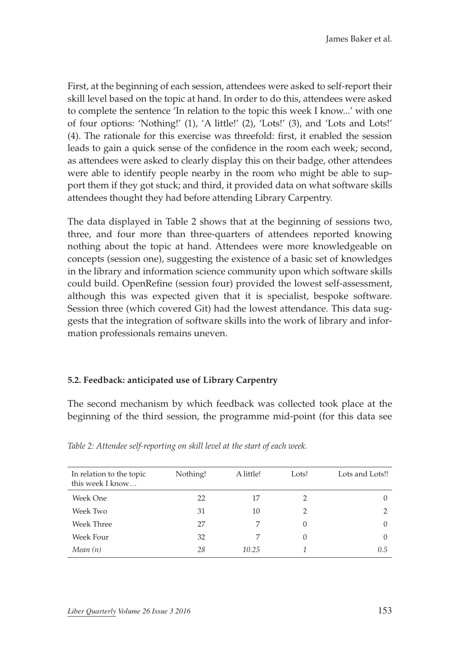First, at the beginning of each session, attendees were asked to self-report their skill level based on the topic at hand. In order to do this, attendees were asked to complete the sentence 'In relation to the topic this week I know...' with one of four options: 'Nothing!' (1), 'A little!' (2), 'Lots!' (3), and 'Lots and Lots!' (4). The rationale for this exercise was threefold: first, it enabled the session leads to gain a quick sense of the confidence in the room each week; second, as attendees were asked to clearly display this on their badge, other attendees were able to identify people nearby in the room who might be able to support them if they got stuck; and third, it provided data on what software skills attendees thought they had before attending Library Carpentry.

The data displayed in Table 2 shows that at the beginning of sessions two, three, and four more than three-quarters of attendees reported knowing nothing about the topic at hand. Attendees were more knowledgeable on concepts (session one), suggesting the existence of a basic set of knowledges in the library and information science community upon which software skills could build. OpenRefine (session four) provided the lowest self-assessment, although this was expected given that it is specialist, bespoke software. Session three (which covered Git) had the lowest attendance. This data suggests that the integration of software skills into the work of library and information professionals remains uneven.

#### **5.2. Feedback: anticipated use of Library Carpentry**

The second mechanism by which feedback was collected took place at the beginning of the third session, the programme mid-point (for this data see

| In relation to the topic<br>this week I know | Nothing! | A little! | Lots!    | Lots and Lots!! |
|----------------------------------------------|----------|-----------|----------|-----------------|
| Week One                                     | 22       | 17        |          | $\theta$        |
| Week Two                                     | 31       | 10        | 2        |                 |
| Week Three                                   | 27       | 7         |          | $\Omega$        |
| Week Four                                    | 32       |           | $\Omega$ | $\Omega$        |
| Mean(n)                                      | 28       | 10.25     |          | 0.5             |

*Table 2: Attendee self-reporting on skill level at the start of each week.*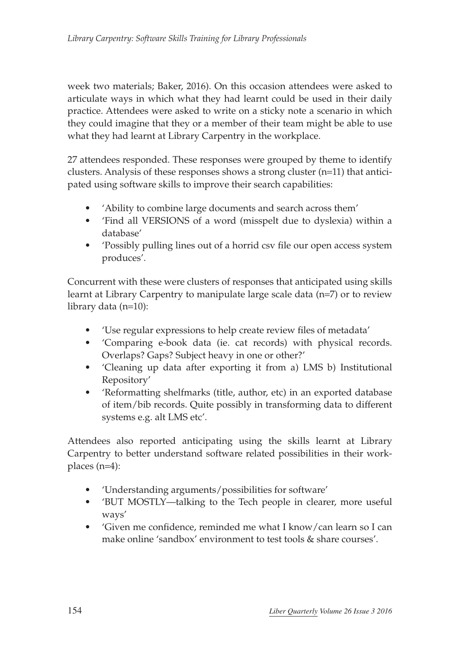week two materials; Baker, 2016). On this occasion attendees were asked to articulate ways in which what they had learnt could be used in their daily practice. Attendees were asked to write on a sticky note a scenario in which they could imagine that they or a member of their team might be able to use what they had learnt at Library Carpentry in the workplace.

27 attendees responded. These responses were grouped by theme to identify clusters. Analysis of these responses shows a strong cluster (n=11) that anticipated using software skills to improve their search capabilities:

- 'Ability to combine large documents and search across them'
- 'Find all VERSIONS of a word (misspelt due to dyslexia) within a database'
- 'Possibly pulling lines out of a horrid csv file our open access system produces'.

Concurrent with these were clusters of responses that anticipated using skills learnt at Library Carpentry to manipulate large scale data (n=7) or to review library data (n=10):

- 'Use regular expressions to help create review files of metadata'
- 'Comparing e-book data (ie. cat records) with physical records. Overlaps? Gaps? Subject heavy in one or other?'
- 'Cleaning up data after exporting it from a) LMS b) Institutional Repository'
- 'Reformatting shelfmarks (title, author, etc) in an exported database of item/bib records. Quite possibly in transforming data to different systems e.g. alt LMS etc'.

Attendees also reported anticipating using the skills learnt at Library Carpentry to better understand software related possibilities in their workplaces (n=4):

- 'Understanding arguments/possibilities for software'
- 'BUT MOSTLY—talking to the Tech people in clearer, more useful ways'
- 'Given me confidence, reminded me what I know/can learn so I can make online 'sandbox' environment to test tools & share courses'.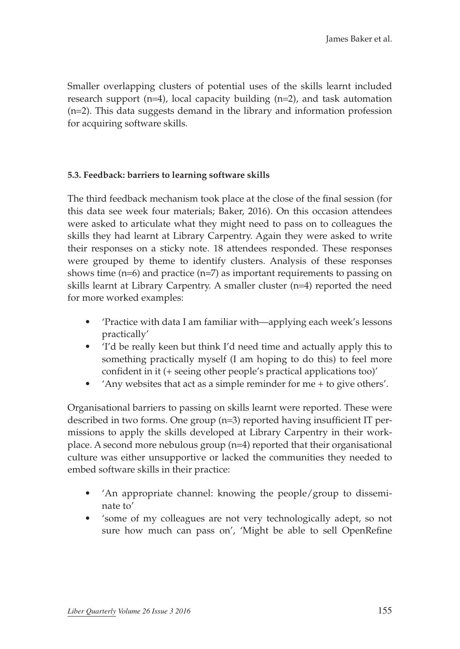Smaller overlapping clusters of potential uses of the skills learnt included research support (n=4), local capacity building (n=2), and task automation (n=2). This data suggests demand in the library and information profession for acquiring software skills.

#### **5.3. Feedback: barriers to learning software skills**

The third feedback mechanism took place at the close of the final session (for this data see week four materials; Baker, 2016). On this occasion attendees were asked to articulate what they might need to pass on to colleagues the skills they had learnt at Library Carpentry. Again they were asked to write their responses on a sticky note. 18 attendees responded. These responses were grouped by theme to identify clusters. Analysis of these responses shows time (n=6) and practice (n=7) as important requirements to passing on skills learnt at Library Carpentry. A smaller cluster (n=4) reported the need for more worked examples:

- 'Practice with data I am familiar with—applying each week's lessons practically'
- 'I'd be really keen but think I'd need time and actually apply this to something practically myself (I am hoping to do this) to feel more confident in it (+ seeing other people's practical applications too)'
- 'Any websites that act as a simple reminder for me + to give others'.

Organisational barriers to passing on skills learnt were reported. These were described in two forms. One group (n=3) reported having insufficient IT permissions to apply the skills developed at Library Carpentry in their workplace. A second more nebulous group (n=4) reported that their organisational culture was either unsupportive or lacked the communities they needed to embed software skills in their practice:

- 'An appropriate channel: knowing the people/group to disseminate to'
- 'some of my colleagues are not very technologically adept, so not sure how much can pass on', 'Might be able to sell OpenRefine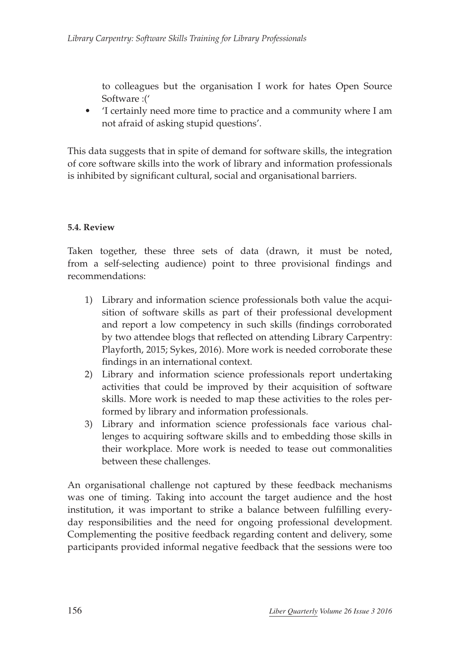to colleagues but the organisation I work for hates Open Source Software :('

• 'I certainly need more time to practice and a community where I am not afraid of asking stupid questions'.

This data suggests that in spite of demand for software skills, the integration of core software skills into the work of library and information professionals is inhibited by significant cultural, social and organisational barriers.

#### **5.4. Review**

Taken together, these three sets of data (drawn, it must be noted, from a self-selecting audience) point to three provisional findings and recommendations:

- 1) Library and information science professionals both value the acquisition of software skills as part of their professional development and report a low competency in such skills (findings corroborated by two attendee blogs that reflected on attending Library Carpentry: Playforth, 2015; Sykes, 2016). More work is needed corroborate these findings in an international context.
- 2) Library and information science professionals report undertaking activities that could be improved by their acquisition of software skills. More work is needed to map these activities to the roles performed by library and information professionals.
- 3) Library and information science professionals face various challenges to acquiring software skills and to embedding those skills in their workplace. More work is needed to tease out commonalities between these challenges.

An organisational challenge not captured by these feedback mechanisms was one of timing. Taking into account the target audience and the host institution, it was important to strike a balance between fulfilling everyday responsibilities and the need for ongoing professional development. Complementing the positive feedback regarding content and delivery, some participants provided informal negative feedback that the sessions were too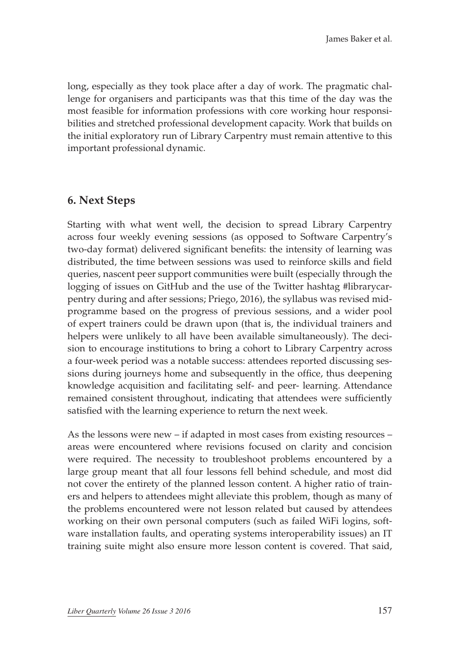long, especially as they took place after a day of work. The pragmatic challenge for organisers and participants was that this time of the day was the most feasible for information professions with core working hour responsibilities and stretched professional development capacity. Work that builds on the initial exploratory run of Library Carpentry must remain attentive to this important professional dynamic.

#### **6. Next Steps**

Starting with what went well, the decision to spread Library Carpentry across four weekly evening sessions (as opposed to Software Carpentry's two-day format) delivered significant benefits: the intensity of learning was distributed, the time between sessions was used to reinforce skills and field queries, nascent peer support communities were built (especially through the logging of issues on GitHub and the use of the Twitter hashtag #librarycarpentry during and after sessions; Priego, 2016), the syllabus was revised midprogramme based on the progress of previous sessions, and a wider pool of expert trainers could be drawn upon (that is, the individual trainers and helpers were unlikely to all have been available simultaneously). The decision to encourage institutions to bring a cohort to Library Carpentry across a four-week period was a notable success: attendees reported discussing sessions during journeys home and subsequently in the office, thus deepening knowledge acquisition and facilitating self- and peer- learning. Attendance remained consistent throughout, indicating that attendees were sufficiently satisfied with the learning experience to return the next week.

As the lessons were new – if adapted in most cases from existing resources – areas were encountered where revisions focused on clarity and concision were required. The necessity to troubleshoot problems encountered by a large group meant that all four lessons fell behind schedule, and most did not cover the entirety of the planned lesson content. A higher ratio of trainers and helpers to attendees might alleviate this problem, though as many of the problems encountered were not lesson related but caused by attendees working on their own personal computers (such as failed WiFi logins, software installation faults, and operating systems interoperability issues) an IT training suite might also ensure more lesson content is covered. That said,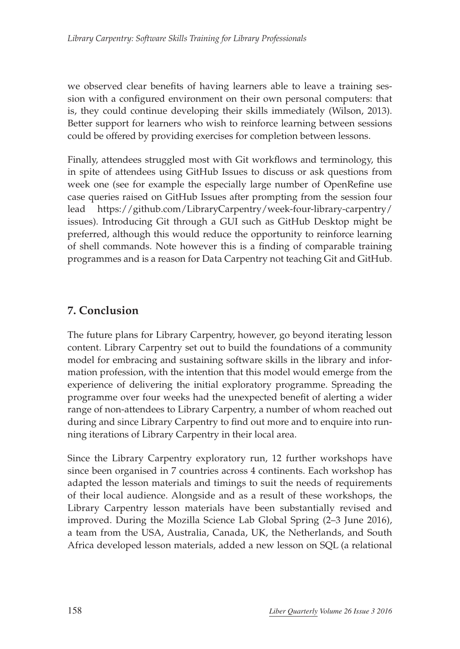we observed clear benefits of having learners able to leave a training session with a configured environment on their own personal computers: that is, they could continue developing their skills immediately (Wilson, 2013). Better support for learners who wish to reinforce learning between sessions could be offered by providing exercises for completion between lessons.

Finally, attendees struggled most with Git workflows and terminology, this in spite of attendees using GitHub Issues to discuss or ask questions from week one (see for example the especially large number of OpenRefine use case queries raised on GitHub Issues after prompting from the session four lead [https://github.com/LibraryCarpentry/week-four-library-carpentry/](https://github.com/LibraryCarpentry/week-four-library-carpentry/issues) [issues](https://github.com/LibraryCarpentry/week-four-library-carpentry/issues)). Introducing Git through a GUI such as GitHub Desktop might be preferred, although this would reduce the opportunity to reinforce learning of shell commands. Note however this is a finding of comparable training programmes and is a reason for Data Carpentry not teaching Git and GitHub.

# **7. Conclusion**

The future plans for Library Carpentry, however, go beyond iterating lesson content. Library Carpentry set out to build the foundations of a community model for embracing and sustaining software skills in the library and information profession, with the intention that this model would emerge from the experience of delivering the initial exploratory programme. Spreading the programme over four weeks had the unexpected benefit of alerting a wider range of non-attendees to Library Carpentry, a number of whom reached out during and since Library Carpentry to find out more and to enquire into running iterations of Library Carpentry in their local area.

Since the Library Carpentry exploratory run, 12 further workshops have since been organised in 7 countries across 4 continents. Each workshop has adapted the lesson materials and timings to suit the needs of requirements of their local audience. Alongside and as a result of these workshops, the Library Carpentry lesson materials have been substantially revised and improved. During the Mozilla Science Lab Global Spring (2–3 June 2016), a team from the USA, Australia, Canada, UK, the Netherlands, and South Africa developed lesson materials, added a new lesson on SQL (a relational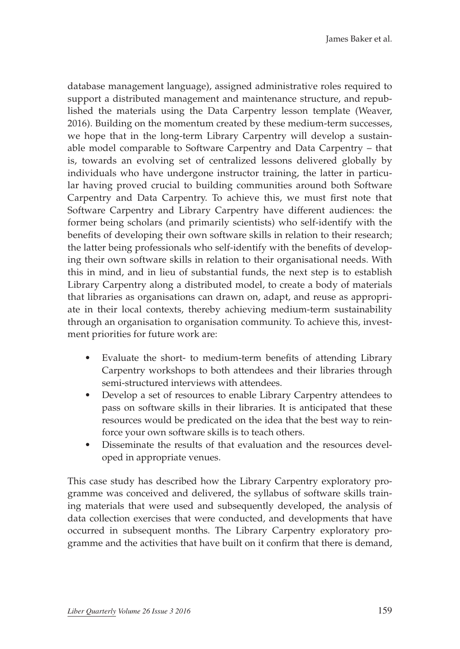database management language), assigned administrative roles required to support a distributed management and maintenance structure, and republished the materials using the Data Carpentry lesson template (Weaver, 2016). Building on the momentum created by these medium-term successes, we hope that in the long-term Library Carpentry will develop a sustainable model comparable to Software Carpentry and Data Carpentry – that is, towards an evolving set of centralized lessons delivered globally by individuals who have undergone instructor training, the latter in particular having proved crucial to building communities around both Software Carpentry and Data Carpentry. To achieve this, we must first note that Software Carpentry and Library Carpentry have different audiences: the former being scholars (and primarily scientists) who self-identify with the benefits of developing their own software skills in relation to their research; the latter being professionals who self-identify with the benefits of developing their own software skills in relation to their organisational needs. With this in mind, and in lieu of substantial funds, the next step is to establish Library Carpentry along a distributed model, to create a body of materials that libraries as organisations can drawn on, adapt, and reuse as appropriate in their local contexts, thereby achieving medium-term sustainability through an organisation to organisation community. To achieve this, investment priorities for future work are:

- Evaluate the short- to medium-term benefits of attending Library Carpentry workshops to both attendees and their libraries through semi-structured interviews with attendees.
- Develop a set of resources to enable Library Carpentry attendees to pass on software skills in their libraries. It is anticipated that these resources would be predicated on the idea that the best way to reinforce your own software skills is to teach others.
- Disseminate the results of that evaluation and the resources developed in appropriate venues.

This case study has described how the Library Carpentry exploratory programme was conceived and delivered, the syllabus of software skills training materials that were used and subsequently developed, the analysis of data collection exercises that were conducted, and developments that have occurred in subsequent months. The Library Carpentry exploratory programme and the activities that have built on it confirm that there is demand,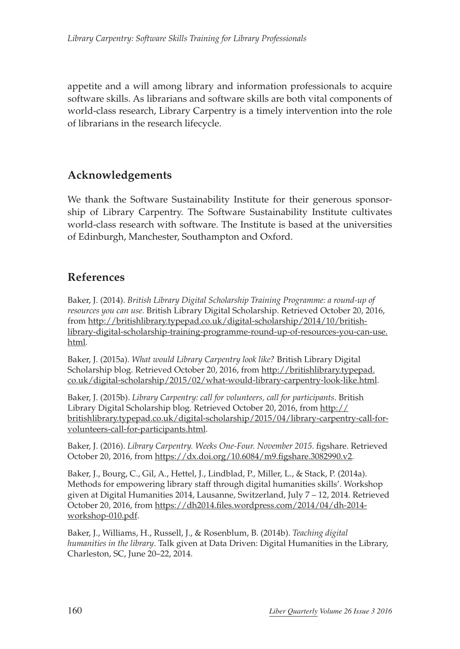appetite and a will among library and information professionals to acquire software skills. As librarians and software skills are both vital components of world-class research, Library Carpentry is a timely intervention into the role of librarians in the research lifecycle.

# **Acknowledgements**

We thank the Software Sustainability Institute for their generous sponsorship of Library Carpentry. The Software Sustainability Institute cultivates world-class research with software. The Institute is based at the universities of Edinburgh, Manchester, Southampton and Oxford.

# **References**

Baker, J. (2014). *British Library Digital Scholarship Training Programme: a round-up of resources you can use.* British Library Digital Scholarship. Retrieved October 20, 2016, from [http://britishlibrary.typepad.co.uk/digital-scholarship/2014/10/british](http://britishlibrary.typepad.co.uk/digital-scholarship/2014/10/british-library-digital-scholarship-training-programme-round-up-of-resources-you-can-use.html)[library-digital-scholarship-training-programme-round-up-of-resources-you-can-use.](http://britishlibrary.typepad.co.uk/digital-scholarship/2014/10/british-library-digital-scholarship-training-programme-round-up-of-resources-you-can-use.html) [html.](http://britishlibrary.typepad.co.uk/digital-scholarship/2014/10/british-library-digital-scholarship-training-programme-round-up-of-resources-you-can-use.html)

Baker, J. (2015a). *What would Library Carpentry look like?* British Library Digital Scholarship blog. Retrieved October 20, 2016, from [http://britishlibrary.typepad.](http://britishlibrary.typepad.co.uk/digital-scholarship/2015/02/what-would-library-carpentry-look-like.html) [co.uk/digital-scholarship/2015/02/what-would-library-carpentry-look-like.html](http://britishlibrary.typepad.co.uk/digital-scholarship/2015/02/what-would-library-carpentry-look-like.html).

Baker, J. (2015b). *Library Carpentry: call for volunteers, call for participants*. British Library Digital Scholarship blog. Retrieved October 20, 2016, from [http://](http://britishlibrary.typepad.co.uk/digital-scholarship/2015/04/library-carpentry-call-for-volunteers-call-for-participants.html) [britishlibrary.typepad.co.uk/digital-scholarship/2015/04/library-carpentry-call-for](http://britishlibrary.typepad.co.uk/digital-scholarship/2015/04/library-carpentry-call-for-volunteers-call-for-participants.html)[volunteers-call-for-participants.html.](http://britishlibrary.typepad.co.uk/digital-scholarship/2015/04/library-carpentry-call-for-volunteers-call-for-participants.html)

Baker, J. (2016). *Library Carpentry. Weeks One-Four. November 2015*. figshare. Retrieved October 20, 2016, from [https://dx.doi.org/10.6084/m9.figshare.3082990.v2.](https://dx.doi.org/10.6084/m9.figshare.3082990.v2)

Baker, J., Bourg, C., Gil, A., Hettel, J., Lindblad, P., Miller, L., & Stack, P. (2014a). Methods for empowering library staff through digital humanities skills'. Workshop given at Digital Humanities 2014, Lausanne, Switzerland, July 7 – 12, 2014. Retrieved October 20, 2016, from [https://dh2014.files.wordpress.com/2014/04/dh-2014](https://dh2014.files.wordpress.com/2014/04/dh-2014-workshop-010.pdf) [workshop-010.pdf.](https://dh2014.files.wordpress.com/2014/04/dh-2014-workshop-010.pdf)

Baker, J., Williams, H., Russell, J., & Rosenblum, B. (2014b). *Teaching digital humanities in the library*. Talk given at Data Driven: Digital Humanities in the Library, Charleston, SC, June 20–22, 2014.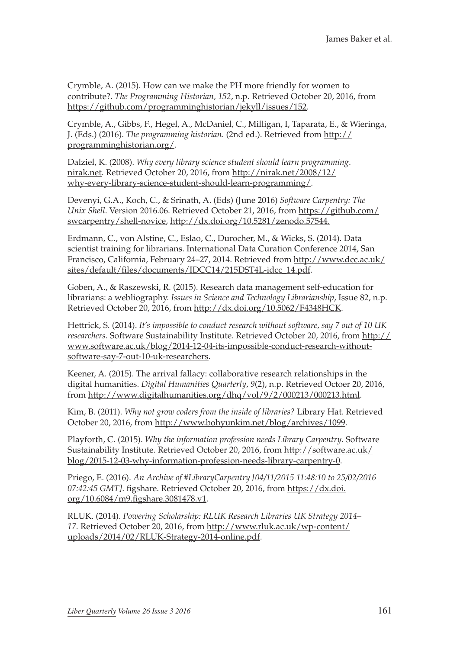Crymble, A. (2015). How can we make the PH more friendly for women to contribute?. *The Programming Historian, 152*, n.p. Retrieved October 20, 2016, from <https://github.com/programminghistorian/jekyll/issues/152>.

Crymble, A., Gibbs, F., Hegel, A., McDaniel, C., Milligan, I, Taparata, E., & Wieringa, J. (Eds.) (2016). *The programming historian.* (2nd ed.). Retrieved from [http://](http://programminghistorian.org/) [programminghistorian.org/.](http://programminghistorian.org/)

Dalziel, K. (2008). *Why every library science student should learn programming*. [nirak.net.](nirak.net) Retrieved October 20, 2016, from [http://nirak.net/2008/12/](http://nirak.net/2008/12/why-every-library-science-student-should-learn-programming/) [why-every-library-science-student-should-learn-programming/.](http://nirak.net/2008/12/why-every-library-science-student-should-learn-programming/)

Devenyi, G.A., Koch, C., & Srinath, A. (Eds) (June 2016) *Software Carpentry: The Unix Shell*. Version 2016.06. Retrieved October 21, 2016, from [https://github.com/](https://github.com/swcarpentry/shell-novice) [swcarpentry/shell-novice,](https://github.com/swcarpentry/shell-novice)<http://dx.doi.org/10.5281/zenodo.57544>.

Erdmann, C., von Alstine, C., Eslao, C., Durocher, M., & Wicks, S. (2014). Data scientist training for librarians. International Data Curation Conference 2014, San Francisco, California, February 24-27, 2014. Retrieved from [http://www.dcc.ac.uk/](http://www.dcc.ac.uk/sites/default/files/documents/IDCC14/215DST4L-idcc_14.pdf) [sites/default/files/documents/IDCC14/215DST4L-idcc\\_14.pdf](http://www.dcc.ac.uk/sites/default/files/documents/IDCC14/215DST4L-idcc_14.pdf).

Goben, A., & Raszewski, R. (2015). Research data management self-education for librarians: a webliography. *Issues in Science and Technology Librarianship*, Issue 82, n.p. Retrieved October 20, 2016, from<http://dx.doi.org/10.5062/F4348HCK>.

Hettrick, S. (2014). *It's impossible to conduct research without software, say 7 out of 10 UK researchers.* Software Sustainability Institute. Retrieved October 20, 2016, from [http://](http://www.software.ac.uk/blog/2014-12-04-its-impossible-conduct-research-without-software-say-7-out-10-uk-researchers) [www.software.ac.uk/blog/2014-12-04-its-impossible-conduct-research-without](http://www.software.ac.uk/blog/2014-12-04-its-impossible-conduct-research-without-software-say-7-out-10-uk-researchers)[software-say-7-out-10-uk-researchers](http://www.software.ac.uk/blog/2014-12-04-its-impossible-conduct-research-without-software-say-7-out-10-uk-researchers).

Keener, A. (2015). The arrival fallacy: collaborative research relationships in the digital humanities. *Digital Humanities Quarterly*, *9*(2), n.p. Retrieved Octoer 20, 2016, from<http://www.digitalhumanities.org/dhq/vol/9/2/000213/000213.html>.

Kim, B. (2011). *Why not grow coders from the inside of libraries?* Library Hat. Retrieved October 20, 2016, from [http://www.bohyunkim.net/blog/archives/1099.](http://www.bohyunkim.net/blog/archives/1099)

Playforth, C. (2015). *Why the information profession needs Library Carpentry*. Software Sustainability Institute. Retrieved October 20, 2016, from [http://software.ac.uk/](http://software.ac.uk/blog/2015-12-03-why-information-profession-needs-library-carpentry-0) [blog/2015-12-03-why-information-profession-needs-library-carpentry-0](http://software.ac.uk/blog/2015-12-03-why-information-profession-needs-library-carpentry-0).

Priego, E. (2016). *An Archive of #LibraryCarpentry [04/11/2015 11:48:10 to 25/02/2016 07:42:45 GMT]*. figshare. Retrieved October 20, 2016, from [https://dx.doi.](https://dx.doi.org/10.6084/m9.figshare.3081478.v1) [org/10.6084/m9.figshare.3081478.v1](https://dx.doi.org/10.6084/m9.figshare.3081478.v1).

RLUK. (2014). *Powering Scholarship: RLUK Research Libraries UK Strategy 2014– 17.* Retrieved October 20, 2016, from [http://www.rluk.ac.uk/wp-content/](http://www.rluk.ac.uk/wp-content/uploads/2014/02/RLUK-Strategy-2014-online.pdf) [uploads/2014/02/RLUK-Strategy-2014-online.pdf.](http://www.rluk.ac.uk/wp-content/uploads/2014/02/RLUK-Strategy-2014-online.pdf)